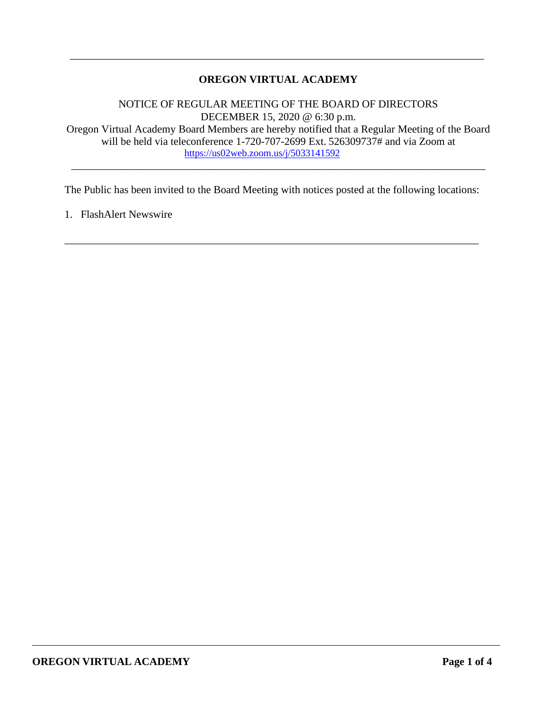## **OREGON VIRTUAL ACADEMY**

\_\_\_\_\_\_\_\_\_\_\_\_\_\_\_\_\_\_\_\_\_\_\_\_\_\_\_\_\_\_\_\_\_\_\_\_\_\_\_\_\_\_\_\_\_\_\_\_\_\_\_\_\_\_\_\_\_\_\_\_\_\_\_\_\_\_\_\_\_\_\_\_\_\_\_\_\_

NOTICE OF REGULAR MEETING OF THE BOARD OF DIRECTORS DECEMBER 15, 2020 @ 6:30 p.m. Oregon Virtual Academy Board Members are hereby notified that a Regular Meeting of the Board will be held via teleconference 1-720-707-2699 Ext. 526309737# and via Zoom at <https://us02web.zoom.us/j/5033141592>

\_\_\_\_\_\_\_\_\_\_\_\_\_\_\_\_\_\_\_\_\_\_\_\_\_\_\_\_\_\_\_\_\_\_\_\_\_\_\_\_\_\_\_\_\_\_\_\_\_\_\_\_\_\_\_\_\_\_\_\_\_\_\_\_\_\_\_\_\_\_\_\_\_\_\_\_\_

The Public has been invited to the Board Meeting with notices posted at the following locations:

\_\_\_\_\_\_\_\_\_\_\_\_\_\_\_\_\_\_\_\_\_\_\_\_\_\_\_\_\_\_\_\_\_\_\_\_\_\_\_\_\_\_\_\_\_\_\_\_\_\_\_\_\_\_\_\_\_\_\_\_\_\_\_\_\_\_\_\_\_\_\_\_\_\_\_\_\_

1. FlashAlert Newswire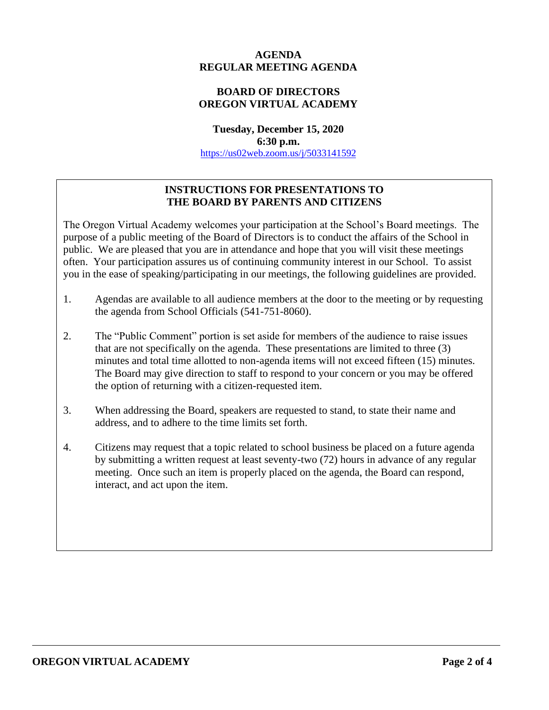### **AGENDA REGULAR MEETING AGENDA**

### **BOARD OF DIRECTORS OREGON VIRTUAL ACADEMY**

**Tuesday, December 15, 2020 6:30 p.m.** <https://us02web.zoom.us/j/5033141592>

## **INSTRUCTIONS FOR PRESENTATIONS TO THE BOARD BY PARENTS AND CITIZENS**

The Oregon Virtual Academy welcomes your participation at the School's Board meetings. The purpose of a public meeting of the Board of Directors is to conduct the affairs of the School in public. We are pleased that you are in attendance and hope that you will visit these meetings often. Your participation assures us of continuing community interest in our School. To assist you in the ease of speaking/participating in our meetings, the following guidelines are provided.

- 1. Agendas are available to all audience members at the door to the meeting or by requesting the agenda from School Officials (541-751-8060).
- 2. The "Public Comment" portion is set aside for members of the audience to raise issues that are not specifically on the agenda. These presentations are limited to three (3) minutes and total time allotted to non-agenda items will not exceed fifteen (15) minutes. The Board may give direction to staff to respond to your concern or you may be offered the option of returning with a citizen-requested item.
- 3. When addressing the Board, speakers are requested to stand, to state their name and address, and to adhere to the time limits set forth.
- 4. Citizens may request that a topic related to school business be placed on a future agenda by submitting a written request at least seventy-two (72) hours in advance of any regular meeting. Once such an item is properly placed on the agenda, the Board can respond, interact, and act upon the item.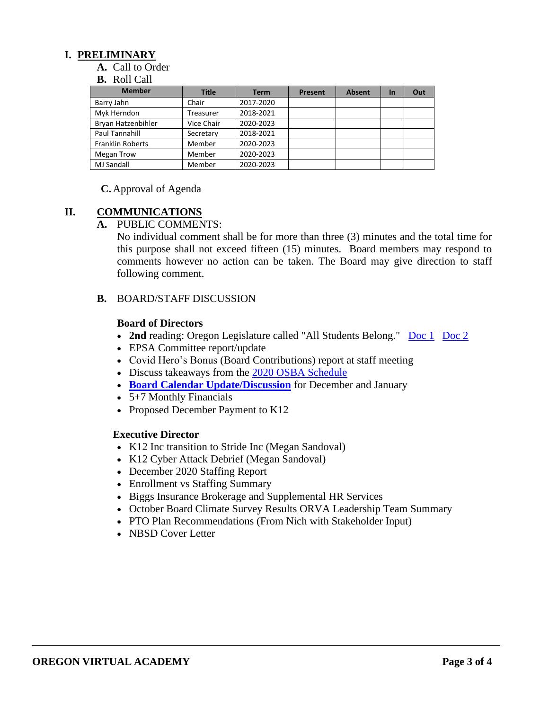### **I. PRELIMINARY**

**A.** Call to Order

#### **B.** Roll Call

| <b>Member</b>           | <b>Title</b> | <b>Term</b> | <b>Present</b> | <b>Absent</b> | <b>In</b> | Out |
|-------------------------|--------------|-------------|----------------|---------------|-----------|-----|
| Barry Jahn              | Chair        | 2017-2020   |                |               |           |     |
| Myk Herndon             | Treasurer    | 2018-2021   |                |               |           |     |
| Bryan Hatzenbihler      | Vice Chair   | 2020-2023   |                |               |           |     |
| Paul Tannahill          | Secretary    | 2018-2021   |                |               |           |     |
| <b>Franklin Roberts</b> | Member       | 2020-2023   |                |               |           |     |
| Megan Trow              | Member       | 2020-2023   |                |               |           |     |
| <b>MJ Sandall</b>       | Member       | 2020-2023   |                |               |           |     |

**C.** Approval of Agenda

### **II. COMMUNICATIONS**

#### **A.** PUBLIC COMMENTS:

No individual comment shall be for more than three (3) minutes and the total time for this purpose shall not exceed fifteen (15) minutes. Board members may respond to comments however no action can be taken. The Board may give direction to staff following comment.

#### **B.** BOARD/STAFF DISCUSSION

#### **Board of Directors**

- 2nd reading: Oregon Legislature called "All Students Belong." [Doc 1](https://drive.google.com/file/d/1V8t2tD6K4v5RPEK1x86WVJmrDLhWk75c/view?usp=sharing) [Doc 2](https://drive.google.com/file/d/1O0zh8ynBshrzXGCDd5jJujAx9TECTYj2/view?usp=sharing)
- EPSA Committee report/update
- [Covid Hero's Bonus](https://drive.google.com/file/d/1hesZ14xqTiL-RjxNnQmR_Tc_JrkN_yXM/view?usp=sharing) (Board Contributions) report at staff meeting
- Discuss takeaways from the [2020 OSBA Schedule](https://drive.google.com/file/d/1r7-0Z7y_IzGKT3zkTgKx3bltIuOK7OGx/view?usp=sharing)
- **[Board Calendar Update/Discussion](https://docs.google.com/document/d/1tVrSGJ6v5gCtv5NNlIoGCFS6zIGPmcuhm6aP9laESig/edit#bookmark=id.u7m8wbidwmnh)** for December and January
- 5+7 Monthly Financials
- Proposed December Payment to K12

#### **Executive Director**

- K12 Inc transition to Stride Inc (Megan Sandoval)
- K12 Cyber Attack Debrief (Megan Sandoval)
- December 2020 Staffing Report
- Enrollment vs Staffing Summary
- Biggs Insurance Brokerage and Supplemental HR Services
- October Board Climate Survey Results ORVA Leadership Team Summary
- PTO Plan Recommendations (From Nich with Stakeholder Input)
- NBSD Cover Letter